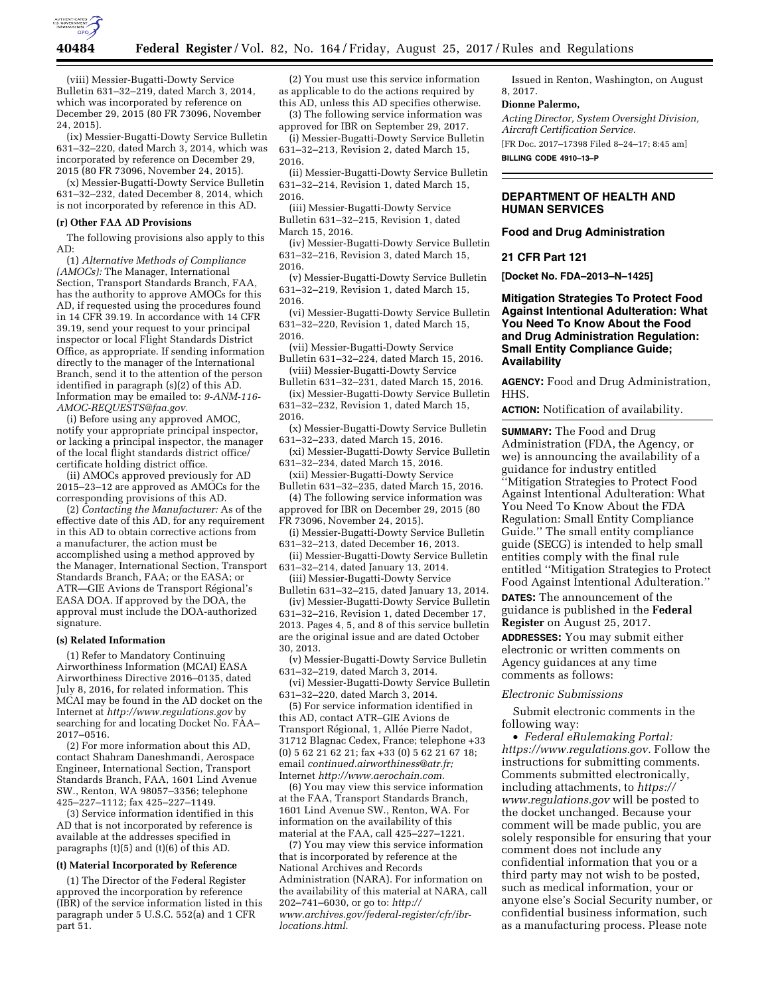

(viii) Messier-Bugatti-Dowty Service Bulletin 631–32–219, dated March 3, 2014, which was incorporated by reference on December 29, 2015 (80 FR 73096, November 24, 2015).

(ix) Messier-Bugatti-Dowty Service Bulletin 631–32–220, dated March 3, 2014, which was incorporated by reference on December 29, 2015 (80 FR 73096, November 24, 2015).

(x) Messier-Bugatti-Dowty Service Bulletin 631–32–232, dated December 8, 2014, which is not incorporated by reference in this AD.

# **(r) Other FAA AD Provisions**

The following provisions also apply to this AD:

(1) *Alternative Methods of Compliance (AMOCs):* The Manager, International Section, Transport Standards Branch, FAA, has the authority to approve AMOCs for this AD, if requested using the procedures found in 14 CFR 39.19. In accordance with 14 CFR 39.19, send your request to your principal inspector or local Flight Standards District Office, as appropriate. If sending information directly to the manager of the International Branch, send it to the attention of the person identified in paragraph (s)(2) of this AD. Information may be emailed to: *[9-ANM-116-](mailto:9-ANM-116-AMOC-REQUESTS@faa.gov) [AMOC-REQUESTS@faa.gov](mailto:9-ANM-116-AMOC-REQUESTS@faa.gov)*.

(i) Before using any approved AMOC, notify your appropriate principal inspector, or lacking a principal inspector, the manager of the local flight standards district office/ certificate holding district office.

(ii) AMOCs approved previously for AD 2015–23–12 are approved as AMOCs for the corresponding provisions of this AD.

(2) *Contacting the Manufacturer:* As of the effective date of this AD, for any requirement in this AD to obtain corrective actions from a manufacturer, the action must be accomplished using a method approved by the Manager, International Section, Transport Standards Branch, FAA; or the EASA; or ATR-GIE Avions de Transport Régional's EASA DOA. If approved by the DOA, the approval must include the DOA-authorized signature.

### **(s) Related Information**

(1) Refer to Mandatory Continuing Airworthiness Information (MCAI) EASA Airworthiness Directive 2016–0135, dated July 8, 2016, for related information. This MCAI may be found in the AD docket on the Internet at *<http://www.regulations.gov>*by searching for and locating Docket No. FAA– 2017–0516.

(2) For more information about this AD, contact Shahram Daneshmandi, Aerospace Engineer, International Section, Transport Standards Branch, FAA, 1601 Lind Avenue SW., Renton, WA 98057–3356; telephone 425–227–1112; fax 425–227–1149.

(3) Service information identified in this AD that is not incorporated by reference is available at the addresses specified in paragraphs (t)(5) and (t)(6) of this AD.

### **(t) Material Incorporated by Reference**

(1) The Director of the Federal Register approved the incorporation by reference (IBR) of the service information listed in this paragraph under 5 U.S.C. 552(a) and 1 CFR part 51.

(2) You must use this service information as applicable to do the actions required by this AD, unless this AD specifies otherwise.

(3) The following service information was approved for IBR on September 29, 2017.

(i) Messier-Bugatti-Dowty Service Bulletin 631–32–213, Revision 2, dated March 15, 2016.

(ii) Messier-Bugatti-Dowty Service Bulletin 631–32–214, Revision 1, dated March 15, 2016.

(iii) Messier-Bugatti-Dowty Service Bulletin 631–32–215, Revision 1, dated March 15, 2016.

(iv) Messier-Bugatti-Dowty Service Bulletin 631–32–216, Revision 3, dated March 15, 2016.

(v) Messier-Bugatti-Dowty Service Bulletin 631–32–219, Revision 1, dated March 15, 2016.

(vi) Messier-Bugatti-Dowty Service Bulletin 631–32–220, Revision 1, dated March 15, 2016.

(vii) Messier-Bugatti-Dowty Service Bulletin 631–32–224, dated March 15, 2016.

(viii) Messier-Bugatti-Dowty Service Bulletin 631–32–231, dated March 15, 2016.

(ix) Messier-Bugatti-Dowty Service Bulletin 631–32–232, Revision 1, dated March 15, 2016.

(x) Messier-Bugatti-Dowty Service Bulletin 631–32–233, dated March 15, 2016.

(xi) Messier-Bugatti-Dowty Service Bulletin 631–32–234, dated March 15, 2016.

(xii) Messier-Bugatti-Dowty Service Bulletin 631–32–235, dated March 15, 2016.

(4) The following service information was approved for IBR on December 29, 2015 (80 FR 73096, November 24, 2015).

(i) Messier-Bugatti-Dowty Service Bulletin 631–32–213, dated December 16, 2013.

(ii) Messier-Bugatti-Dowty Service Bulletin 631–32–214, dated January 13, 2014.

(iii) Messier-Bugatti-Dowty Service Bulletin 631–32–215, dated January 13, 2014.

(iv) Messier-Bugatti-Dowty Service Bulletin 631–32–216, Revision 1, dated December 17, 2013. Pages 4, 5, and 8 of this service bulletin are the original issue and are dated October 30, 2013.

(v) Messier-Bugatti-Dowty Service Bulletin 631–32–219, dated March 3, 2014.

(vi) Messier-Bugatti-Dowty Service Bulletin 631–32–220, dated March 3, 2014.

(5) For service information identified in this AD, contact ATR–GIE Avions de Transport Régional, 1, Allée Pierre Nadot, 31712 Blagnac Cedex, France; telephone +33 (0) 5 62 21 62 21; fax +33 (0) 5 62 21 67 18; email *[continued.airworthiness@atr.fr;](mailto:continued.airworthiness@atr.fr)*  Internet *<http://www.aerochain.com>*.

(6) You may view this service information at the FAA, Transport Standards Branch, 1601 Lind Avenue SW., Renton, WA. For information on the availability of this material at the FAA, call 425–227–1221.

(7) You may view this service information that is incorporated by reference at the National Archives and Records Administration (NARA). For information on the availability of this material at NARA, call 202–741–6030, or go to: *[http://](http://www.archives.gov/federal-register/cfr/ibr-locations.html) [www.archives.gov/federal-register/cfr/ibr](http://www.archives.gov/federal-register/cfr/ibr-locations.html)[locations.html](http://www.archives.gov/federal-register/cfr/ibr-locations.html)*.

Issued in Renton, Washington, on August 8, 2017.

#### **Dionne Palermo,**

*Acting Director, System Oversight Division, Aircraft Certification Service.* 

[FR Doc. 2017–17398 Filed 8–24–17; 8:45 am] **BILLING CODE 4910–13–P** 

# **DEPARTMENT OF HEALTH AND HUMAN SERVICES**

## **Food and Drug Administration**

**21 CFR Part 121** 

**[Docket No. FDA–2013–N–1425]** 

# **Mitigation Strategies To Protect Food Against Intentional Adulteration: What You Need To Know About the Food and Drug Administration Regulation: Small Entity Compliance Guide; Availability**

**AGENCY:** Food and Drug Administration, HHS.

**ACTION:** Notification of availability.

**SUMMARY:** The Food and Drug Administration (FDA, the Agency, or we) is announcing the availability of a guidance for industry entitled ''Mitigation Strategies to Protect Food Against Intentional Adulteration: What You Need To Know About the FDA Regulation: Small Entity Compliance Guide.'' The small entity compliance guide (SECG) is intended to help small entities comply with the final rule entitled ''Mitigation Strategies to Protect Food Against Intentional Adulteration.''

**DATES:** The announcement of the guidance is published in the **Federal Register** on August 25, 2017.

**ADDRESSES:** You may submit either electronic or written comments on Agency guidances at any time comments as follows:

### *Electronic Submissions*

Submit electronic comments in the following way:

• *Federal eRulemaking Portal: [https://www.regulations.gov.](https://www.regulations.gov)* Follow the instructions for submitting comments. Comments submitted electronically, including attachments, to *[https://](https://www.regulations.gov) [www.regulations.gov](https://www.regulations.gov)* will be posted to the docket unchanged. Because your comment will be made public, you are solely responsible for ensuring that your comment does not include any confidential information that you or a third party may not wish to be posted, such as medical information, your or anyone else's Social Security number, or confidential business information, such as a manufacturing process. Please note